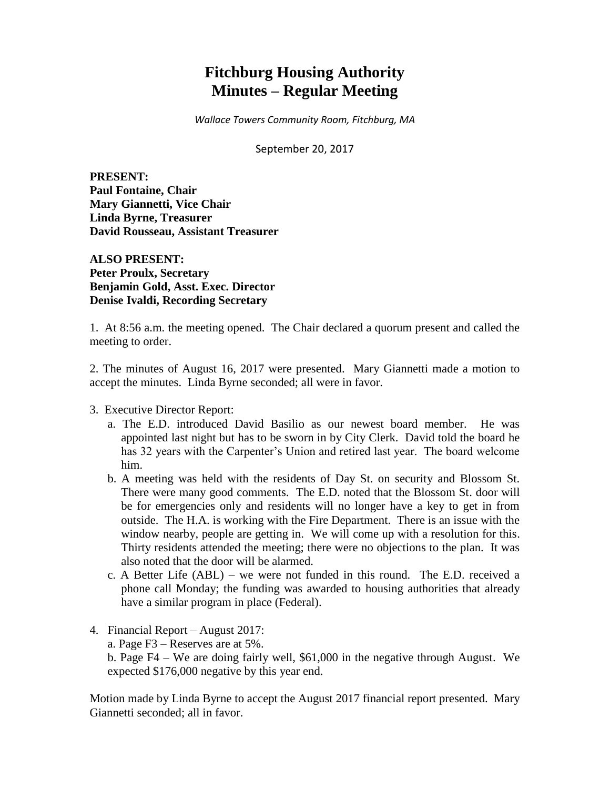# **Fitchburg Housing Authority Minutes – Regular Meeting**

*Wallace Towers Community Room, Fitchburg, MA*

September 20, 2017

**PRESENT: Paul Fontaine, Chair Mary Giannetti, Vice Chair Linda Byrne, Treasurer David Rousseau, Assistant Treasurer**

**ALSO PRESENT: Peter Proulx, Secretary Benjamin Gold, Asst. Exec. Director Denise Ivaldi, Recording Secretary**

1. At 8:56 a.m. the meeting opened. The Chair declared a quorum present and called the meeting to order.

2. The minutes of August 16, 2017 were presented. Mary Giannetti made a motion to accept the minutes. Linda Byrne seconded; all were in favor.

- 3. Executive Director Report:
	- a. The E.D. introduced David Basilio as our newest board member. He was appointed last night but has to be sworn in by City Clerk. David told the board he has 32 years with the Carpenter's Union and retired last year. The board welcome him.
	- b. A meeting was held with the residents of Day St. on security and Blossom St. There were many good comments. The E.D. noted that the Blossom St. door will be for emergencies only and residents will no longer have a key to get in from outside. The H.A. is working with the Fire Department. There is an issue with the window nearby, people are getting in. We will come up with a resolution for this. Thirty residents attended the meeting; there were no objections to the plan. It was also noted that the door will be alarmed.
	- c. A Better Life (ABL) we were not funded in this round. The E.D. received a phone call Monday; the funding was awarded to housing authorities that already have a similar program in place (Federal).
- 4. Financial Report August 2017:
	- a. Page F3 Reserves are at 5%.

b. Page F4 – We are doing fairly well, \$61,000 in the negative through August. We expected \$176,000 negative by this year end.

Motion made by Linda Byrne to accept the August 2017 financial report presented. Mary Giannetti seconded; all in favor.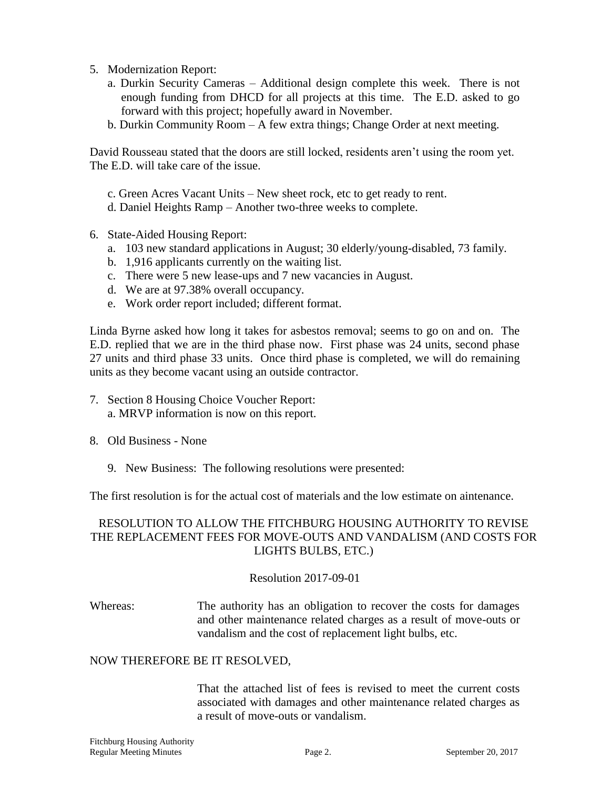- 5. Modernization Report:
	- a. Durkin Security Cameras Additional design complete this week. There is not enough funding from DHCD for all projects at this time. The E.D. asked to go forward with this project; hopefully award in November.
	- b. Durkin Community Room A few extra things; Change Order at next meeting.

David Rousseau stated that the doors are still locked, residents aren't using the room yet. The E.D. will take care of the issue.

- c. Green Acres Vacant Units New sheet rock, etc to get ready to rent.
- d. Daniel Heights Ramp Another two-three weeks to complete.
- 6. State-Aided Housing Report:
	- a. 103 new standard applications in August; 30 elderly/young-disabled, 73 family.
	- b. 1,916 applicants currently on the waiting list.
	- c. There were 5 new lease-ups and 7 new vacancies in August.
	- d. We are at 97.38% overall occupancy.
	- e. Work order report included; different format.

Linda Byrne asked how long it takes for asbestos removal; seems to go on and on. The E.D. replied that we are in the third phase now. First phase was 24 units, second phase 27 units and third phase 33 units. Once third phase is completed, we will do remaining units as they become vacant using an outside contractor.

- 7. Section 8 Housing Choice Voucher Report: a. MRVP information is now on this report.
- 8. Old Business None
	- 9. New Business: The following resolutions were presented:

The first resolution is for the actual cost of materials and the low estimate on aintenance.

# RESOLUTION TO ALLOW THE FITCHBURG HOUSING AUTHORITY TO REVISE THE REPLACEMENT FEES FOR MOVE-OUTS AND VANDALISM (AND COSTS FOR LIGHTS BULBS, ETC.)

## Resolution 2017-09-01

Whereas: The authority has an obligation to recover the costs for damages and other maintenance related charges as a result of move-outs or vandalism and the cost of replacement light bulbs, etc.

## NOW THEREFORE BE IT RESOLVED,

That the attached list of fees is revised to meet the current costs associated with damages and other maintenance related charges as a result of move-outs or vandalism.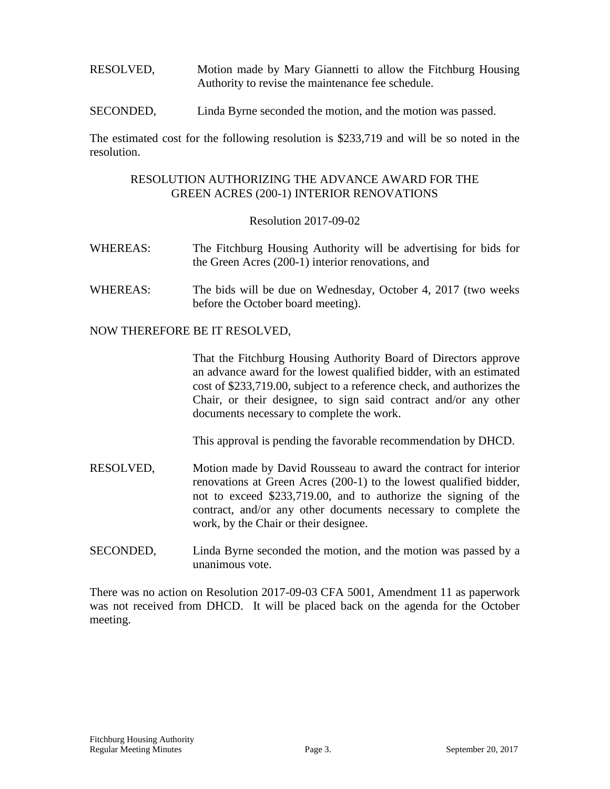- RESOLVED, Motion made by Mary Giannetti to allow the Fitchburg Housing Authority to revise the maintenance fee schedule.
- SECONDED, Linda Byrne seconded the motion, and the motion was passed.

The estimated cost for the following resolution is \$233,719 and will be so noted in the resolution.

# RESOLUTION AUTHORIZING THE ADVANCE AWARD FOR THE GREEN ACRES (200-1) INTERIOR RENOVATIONS

# Resolution 2017-09-02

- WHEREAS: The Fitchburg Housing Authority will be advertising for bids for the Green Acres (200-1) interior renovations, and
- WHEREAS: The bids will be due on Wednesday, October 4, 2017 (two weeks before the October board meeting).

# NOW THEREFORE BE IT RESOLVED,

That the Fitchburg Housing Authority Board of Directors approve an advance award for the lowest qualified bidder, with an estimated cost of \$233,719.00, subject to a reference check, and authorizes the Chair, or their designee, to sign said contract and/or any other documents necessary to complete the work.

This approval is pending the favorable recommendation by DHCD.

- RESOLVED, Motion made by David Rousseau to award the contract for interior renovations at Green Acres (200-1) to the lowest qualified bidder, not to exceed \$233,719.00, and to authorize the signing of the contract, and/or any other documents necessary to complete the work, by the Chair or their designee.
- SECONDED, Linda Byrne seconded the motion, and the motion was passed by a unanimous vote.

There was no action on Resolution 2017-09-03 CFA 5001, Amendment 11 as paperwork was not received from DHCD. It will be placed back on the agenda for the October meeting.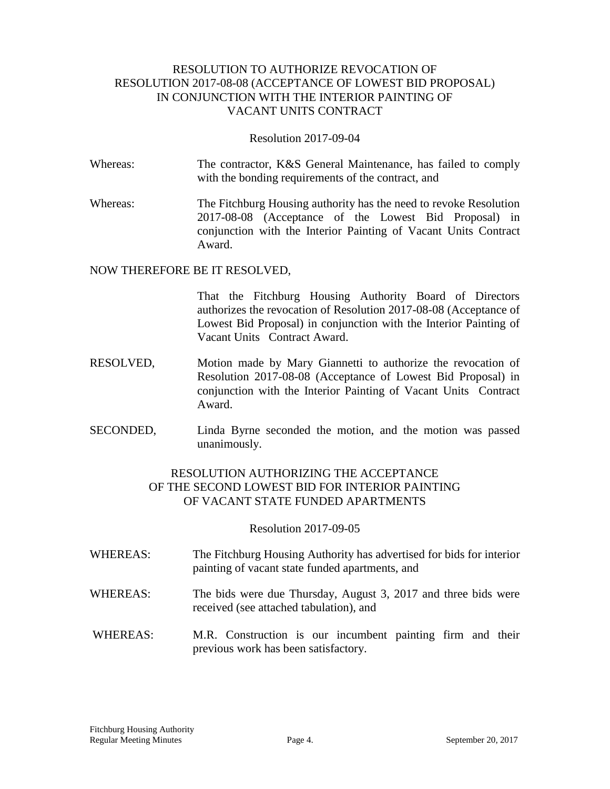## RESOLUTION TO AUTHORIZE REVOCATION OF RESOLUTION 2017-08-08 (ACCEPTANCE OF LOWEST BID PROPOSAL) IN CONJUNCTION WITH THE INTERIOR PAINTING OF VACANT UNITS CONTRACT

#### Resolution 2017-09-04

- Whereas: The contractor, K&S General Maintenance, has failed to comply with the bonding requirements of the contract, and
- Whereas: The Fitchburg Housing authority has the need to revoke Resolution 2017-08-08 (Acceptance of the Lowest Bid Proposal) in conjunction with the Interior Painting of Vacant Units Contract Award.

## NOW THEREFORE BE IT RESOLVED,

That the Fitchburg Housing Authority Board of Directors authorizes the revocation of Resolution 2017-08-08 (Acceptance of Lowest Bid Proposal) in conjunction with the Interior Painting of Vacant Units Contract Award.

- RESOLVED, Motion made by Mary Giannetti to authorize the revocation of Resolution 2017-08-08 (Acceptance of Lowest Bid Proposal) in conjunction with the Interior Painting of Vacant Units Contract Award.
- SECONDED, Linda Byrne seconded the motion, and the motion was passed unanimously.

# RESOLUTION AUTHORIZING THE ACCEPTANCE OF THE SECOND LOWEST BID FOR INTERIOR PAINTING OF VACANT STATE FUNDED APARTMENTS

#### Resolution 2017-09-05

- WHEREAS: The Fitchburg Housing Authority has advertised for bids for interior painting of vacant state funded apartments, and
- WHEREAS: The bids were due Thursday, August 3, 2017 and three bids were received (see attached tabulation), and
- WHEREAS: M.R. Construction is our incumbent painting firm and their previous work has been satisfactory.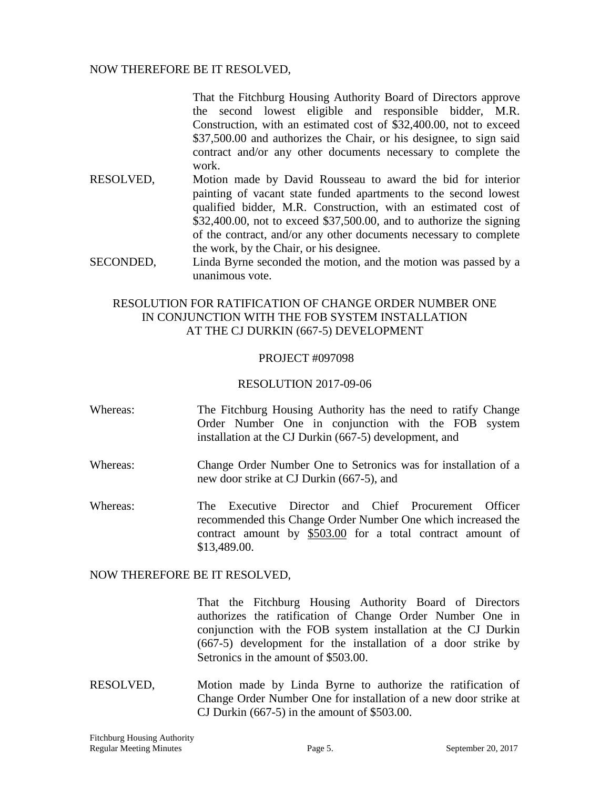## NOW THEREFORE BE IT RESOLVED,

That the Fitchburg Housing Authority Board of Directors approve the second lowest eligible and responsible bidder, M.R. Construction, with an estimated cost of \$32,400.00, not to exceed \$37,500.00 and authorizes the Chair, or his designee, to sign said contract and/or any other documents necessary to complete the work.

- RESOLVED, Motion made by David Rousseau to award the bid for interior painting of vacant state funded apartments to the second lowest qualified bidder, M.R. Construction, with an estimated cost of \$32,400.00, not to exceed \$37,500.00, and to authorize the signing of the contract, and/or any other documents necessary to complete the work, by the Chair, or his designee.
- SECONDED, Linda Byrne seconded the motion, and the motion was passed by a unanimous vote.

# RESOLUTION FOR RATIFICATION OF CHANGE ORDER NUMBER ONE IN CONJUNCTION WITH THE FOB SYSTEM INSTALLATION AT THE CJ DURKIN (667-5) DEVELOPMENT

#### PROJECT #097098

### RESOLUTION 2017-09-06

- Whereas: The Fitchburg Housing Authority has the need to ratify Change Order Number One in conjunction with the FOB system installation at the CJ Durkin (667-5) development, and
- Whereas: Change Order Number One to Setronics was for installation of a new door strike at CJ Durkin (667-5), and
- Whereas: The Executive Director and Chief Procurement Officer recommended this Change Order Number One which increased the contract amount by \$503.00 for a total contract amount of \$13,489.00.

#### NOW THEREFORE BE IT RESOLVED,

That the Fitchburg Housing Authority Board of Directors authorizes the ratification of Change Order Number One in conjunction with the FOB system installation at the CJ Durkin (667-5) development for the installation of a door strike by Setronics in the amount of \$503.00.

RESOLVED, Motion made by Linda Byrne to authorize the ratification of Change Order Number One for installation of a new door strike at CJ Durkin (667-5) in the amount of \$503.00.